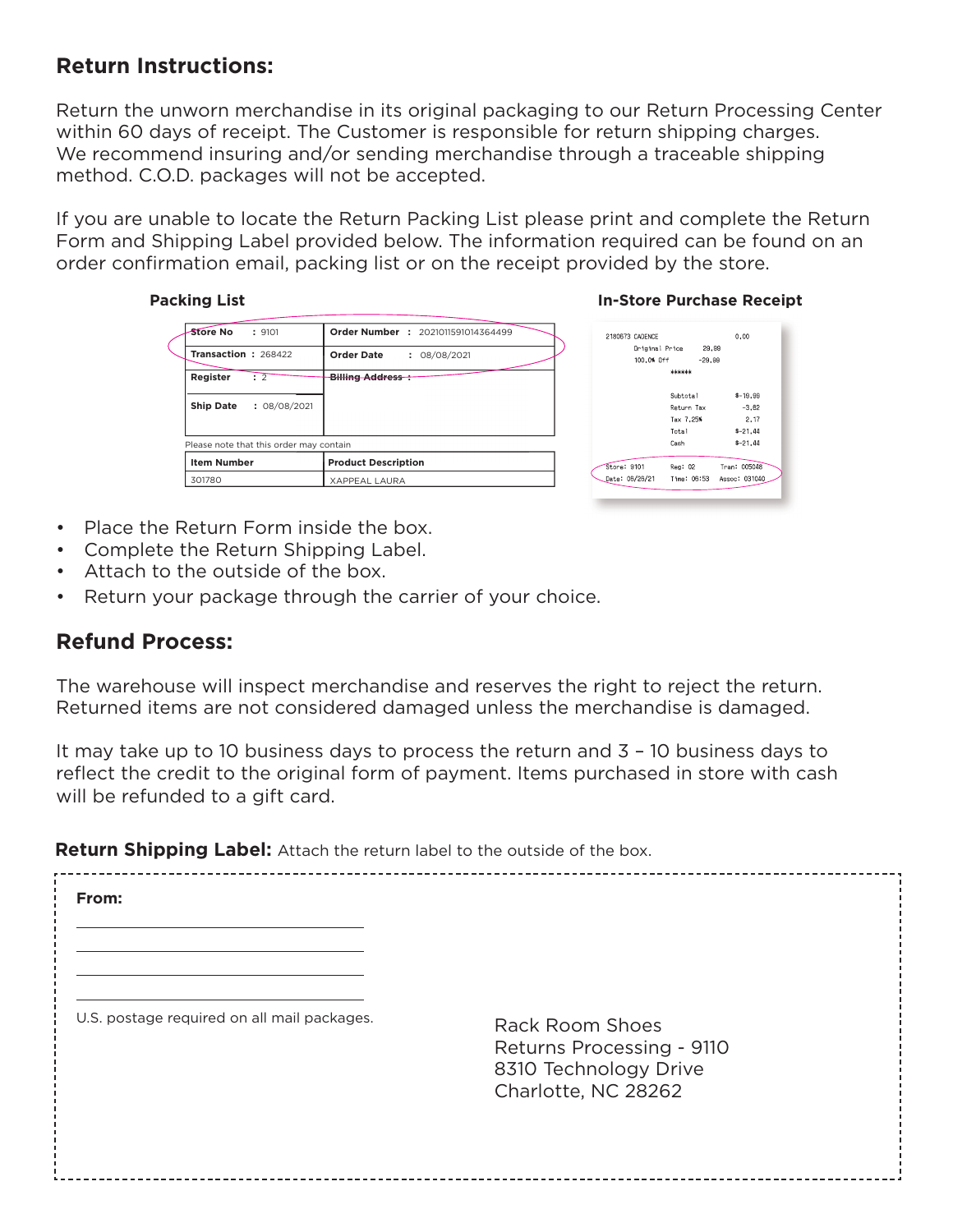## **Return Instructions:**

Return the unworn merchandise in its original packaging to our Return Processing Center within 60 days of receipt. The Customer is responsible for return shipping charges. We recommend insuring and/or sending merchandise through a traceable shipping method. C.O.D. packages will not be accepted.

If you are unable to locate the Return Packing List please print and complete the Return Form and Shipping Label provided below. The information required can be found on an order confirmation email, packing list or on the receipt provided by the store.

| <b>Packing List</b>                     |                                    | <b>In-Store Purchase Receipt</b> |                      |  |
|-----------------------------------------|------------------------------------|----------------------------------|----------------------|--|
| Store No<br>: 9101                      | Order Number : 2021011591014364499 | 2180673 CADENCE                  | 0.00                 |  |
| Transaction: 268422                     | <b>Order Date</b><br>: 08/08/2021  | Original Price<br>100.0% Off     | 29.99<br>$-29.99$    |  |
| Register<br>$\div$ 2                    | Billing Address :                  | ******                           |                      |  |
| <b>Ship Date</b><br>: 08/08/2021        |                                    | Subtotal<br>Return Tax           | $$-19,99$<br>$-3.62$ |  |
|                                         |                                    | Tax 7.25%                        | 2.17                 |  |
|                                         |                                    | Total                            | $$ -21.44$           |  |
| Please note that this order may contain |                                    | Cash                             | $$ -21.44$           |  |
| <b>Item Number</b>                      | <b>Product Description</b>         | Reg: 02<br>Store: 9101           | Tran: 005048         |  |
| 301780                                  | <b>XAPPEAL LAURA</b>               | Date: 06/26/21<br>Time: 06:53    | Assoc: 031040        |  |

| 29.99<br>$-29.99$            |
|------------------------------|
|                              |
|                              |
|                              |
| $$ -19.99$                   |
| Return Tax<br>$-3.62$        |
| 2.17                         |
| $$ -21.44$                   |
| $$ -21.44$                   |
| Tran: 005048                 |
| Time: 06:53<br>Assoc: 031040 |
| Reg: 02                      |

- Place the Return Form inside the box.
- Complete the Return Shipping Label.
- Attach to the outside of the box.
- Return your package through the carrier of your choice.

## **Refund Process:**

The warehouse will inspect merchandise and reserves the right to reject the return. Returned items are not considered damaged unless the merchandise is damaged.

It may take up to 10 business days to process the return and 3 – 10 business days to reflect the credit to the original form of payment. Items purchased in store with cash will be refunded to a gift card.

**Return Shipping Label:** Attach the return label to the outside of the box.

**From:**U.S. postage required on all mail packages. Rack Room Shoes Returns Processing - 9110 8310 Technology Drive Charlotte, NC 28262